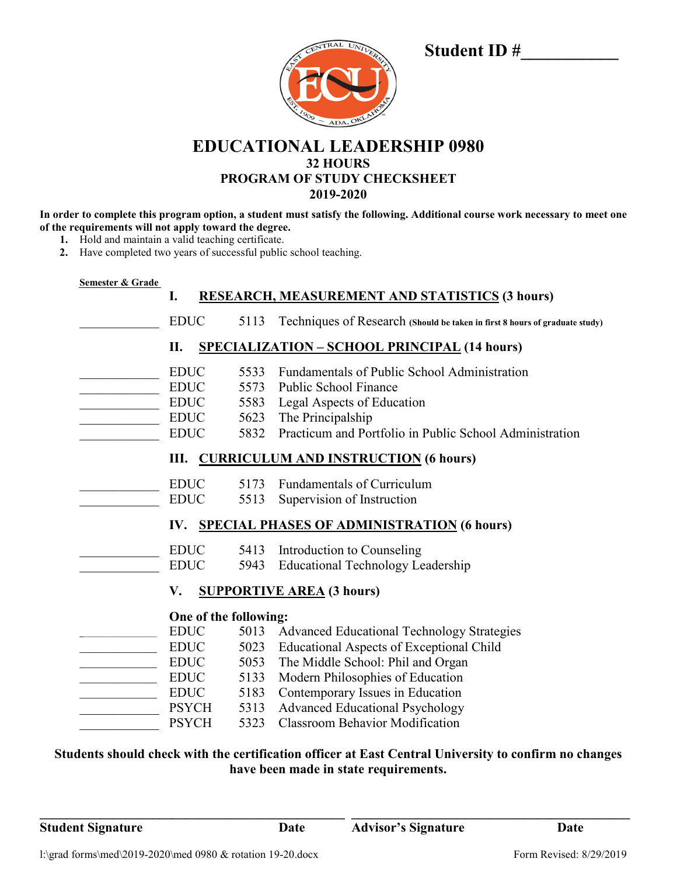| CENTRAL UNIVERSIT<br>1400 |  |
|---------------------------|--|
|                           |  |
| BASICO - ADA, OKLAHOM     |  |

# **Student ID #\_\_\_\_\_\_\_\_\_\_\_**

**EDUCATIONAL LEADERSHIP 0980 32 HOURS PROGRAM OF STUDY CHECKSHEET 2019-2020**

**In order to complete this program option, a student must satisfy the following. Additional course work necessary to meet one of the requirements will not apply toward the degree.**

- **1.** Hold and maintain a valid teaching certificate.
- **2.** Have completed two years of successful public school teaching.

| I.                    |      | <b>RESEARCH, MEASUREMENT AND STATISTICS (3 hours)</b>                       |
|-----------------------|------|-----------------------------------------------------------------------------|
| <b>EDUC</b>           | 5113 | Techniques of Research (Should be taken in first 8 hours of graduate study) |
| II.                   |      | <b>SPECIALIZATION - SCHOOL PRINCIPAL (14 hours)</b>                         |
| <b>EDUC</b>           | 5533 | <b>Fundamentals of Public School Administration</b>                         |
| <b>EDUC</b>           |      | 5573 Public School Finance                                                  |
| <b>EDUC</b>           |      | 5583 Legal Aspects of Education                                             |
| <b>EDUC</b>           |      | 5623 The Principalship                                                      |
| <b>EDUC</b>           |      | 5832 Practicum and Portfolio in Public School Administration                |
|                       |      | III. CURRICULUM AND INSTRUCTION (6 hours)                                   |
| <b>EDUC</b>           |      | 5173 Fundamentals of Curriculum                                             |
| <b>EDUC</b>           | 5513 | Supervision of Instruction                                                  |
| IV.                   |      | <b>SPECIAL PHASES OF ADMINISTRATION (6 hours)</b>                           |
| <b>EDUC</b>           |      | 5413 Introduction to Counseling                                             |
| <b>EDUC</b>           |      | 5943 Educational Technology Leadership                                      |
| V.                    |      | <b>SUPPORTIVE AREA (3 hours)</b>                                            |
| One of the following: |      |                                                                             |
| <b>EDUC</b>           |      | 5013 Advanced Educational Technology Strategies                             |
| <b>EDUC</b>           |      | 5023 Educational Aspects of Exceptional Child                               |
| <b>EDUC</b>           | 5053 | The Middle School: Phil and Organ                                           |
| <b>EDUC</b>           | 5133 | Modern Philosophies of Education                                            |
| <b>EDUC</b>           | 5183 | Contemporary Issues in Education                                            |
| PSYCH                 | 5313 | <b>Advanced Educational Psychology</b>                                      |
| <b>PSYCH</b>          | 5323 | <b>Classroom Behavior Modification</b>                                      |

**\_\_\_\_\_\_\_\_\_\_\_\_\_\_\_\_\_\_\_\_\_\_\_\_\_\_\_\_\_\_\_\_\_\_\_\_\_\_\_\_\_\_\_\_\_\_ \_\_\_\_\_\_\_\_\_\_\_\_\_\_\_\_\_\_\_\_\_\_\_\_\_\_\_\_\_\_\_\_\_\_\_\_\_\_\_\_\_\_**